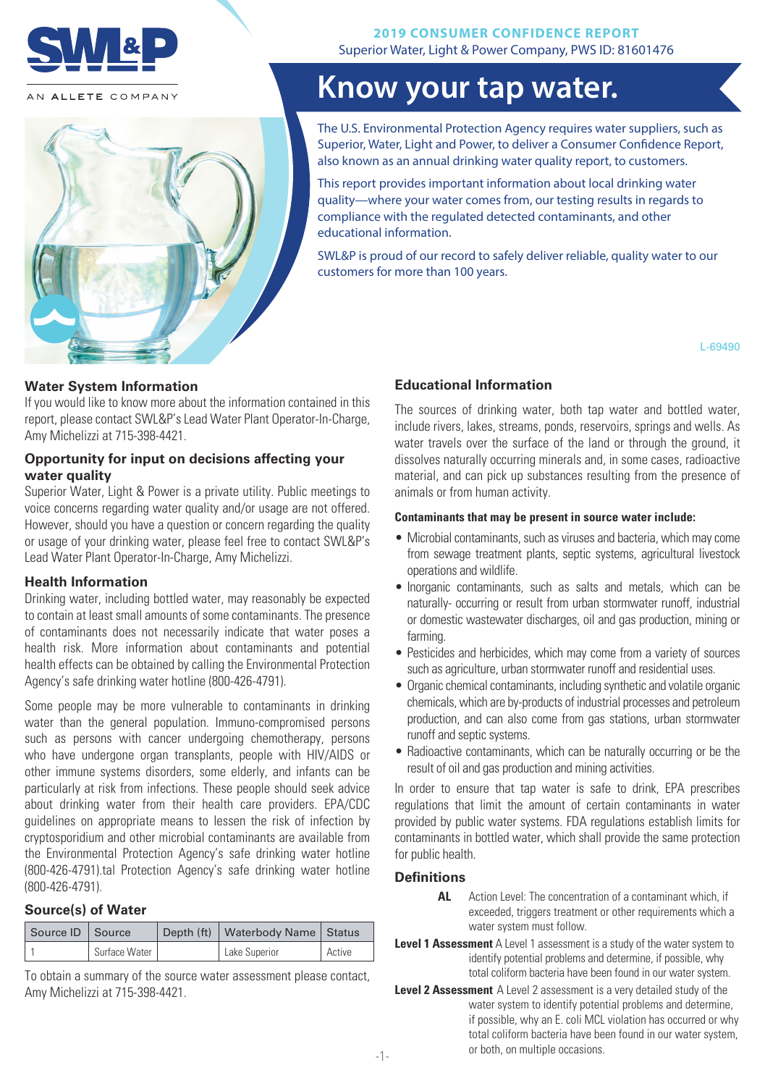

AN ALLETE COMPANY



# **Know your tap water.**

The U.S. Environmental Protection Agency requires water suppliers, such as Superior, Water, Light and Power, to deliver a Consumer Confidence Report, also known as an annual drinking water quality report, to customers.

This report provides important information about local drinking water quality—where your water comes from, our testing results in regards to compliance with the regulated detected contaminants, and other educational information.

SWL&P is proud of our record to safely deliver reliable, quality water to our customers for more than 100 years.

L-69490

#### **Water System Information**

If you would like to know more about the information contained in this report, please contact SWL&P's Lead Water Plant Operator-In-Charge, Amy Michelizzi at 715-398-4421.

#### **Opportunity for input on decisions affecting your water quality**

Superior Water, Light & Power is a private utility. Public meetings to voice concerns regarding water quality and/or usage are not offered. However, should you have a question or concern regarding the quality or usage of your drinking water, please feel free to contact SWL&P's Lead Water Plant Operator-In-Charge, Amy Michelizzi.

#### **Health Information**

Drinking water, including bottled water, may reasonably be expected to contain at least small amounts of some contaminants. The presence of contaminants does not necessarily indicate that water poses a health risk. More information about contaminants and potential health effects can be obtained by calling the Environmental Protection Agency's safe drinking water hotline (800-426-4791).

Some people may be more vulnerable to contaminants in drinking water than the general population. Immuno-compromised persons such as persons with cancer undergoing chemotherapy, persons who have undergone organ transplants, people with HIV/AIDS or other immune systems disorders, some elderly, and infants can be particularly at risk from infections. These people should seek advice about drinking water from their health care providers. EPA/CDC guidelines on appropriate means to lessen the risk of infection by cryptosporidium and other microbial contaminants are available from the Environmental Protection Agency's safe drinking water hotline (800-426-4791).tal Protection Agency's safe drinking water hotline (800-426-4791).

# **Source(s) of Water**

| Source ID   Source |               | Depth (ft)   Waterbody Name   Status |        |
|--------------------|---------------|--------------------------------------|--------|
|                    | Surface Water | Lake Superior                        | Active |

To obtain a summary of the source water assessment please contact, Amy Michelizzi at 715-398-4421.

# **Educational Information**

The sources of drinking water, both tap water and bottled water, include rivers, lakes, streams, ponds, reservoirs, springs and wells. As water travels over the surface of the land or through the ground, it dissolves naturally occurring minerals and, in some cases, radioactive material, and can pick up substances resulting from the presence of animals or from human activity.

#### **Contaminants that may be present in source water include:**

- Microbial contaminants, such as viruses and bacteria, which may come from sewage treatment plants, septic systems, agricultural livestock operations and wildlife.
- Inorganic contaminants, such as salts and metals, which can be naturally- occurring or result from urban stormwater runoff, industrial or domestic wastewater discharges, oil and gas production, mining or farming.
- Pesticides and herbicides, which may come from a variety of sources such as agriculture, urban stormwater runoff and residential uses.
- Organic chemical contaminants, including synthetic and volatile organic chemicals, which are by-products of industrial processes and petroleum production, and can also come from gas stations, urban stormwater runoff and septic systems.
- Radioactive contaminants, which can be naturally occurring or be the result of oil and gas production and mining activities.

In order to ensure that tap water is safe to drink, EPA prescribes regulations that limit the amount of certain contaminants in water provided by public water systems. FDA regulations establish limits for contaminants in bottled water, which shall provide the same protection for public health.

# **Definitions**

- **AL** Action Level: The concentration of a contaminant which, if exceeded, triggers treatment or other requirements which a water system must follow.
- **Level 1 Assessment** A Level 1 assessment is a study of the water system to identify potential problems and determine, if possible, why total coliform bacteria have been found in our water system.
- **Level 2 Assessment** A Level 2 assessment is a very detailed study of the water system to identify potential problems and determine, if possible, why an E. coli MCL violation has occurred or why total coliform bacteria have been found in our water system, or both, on multiple occasions. -1-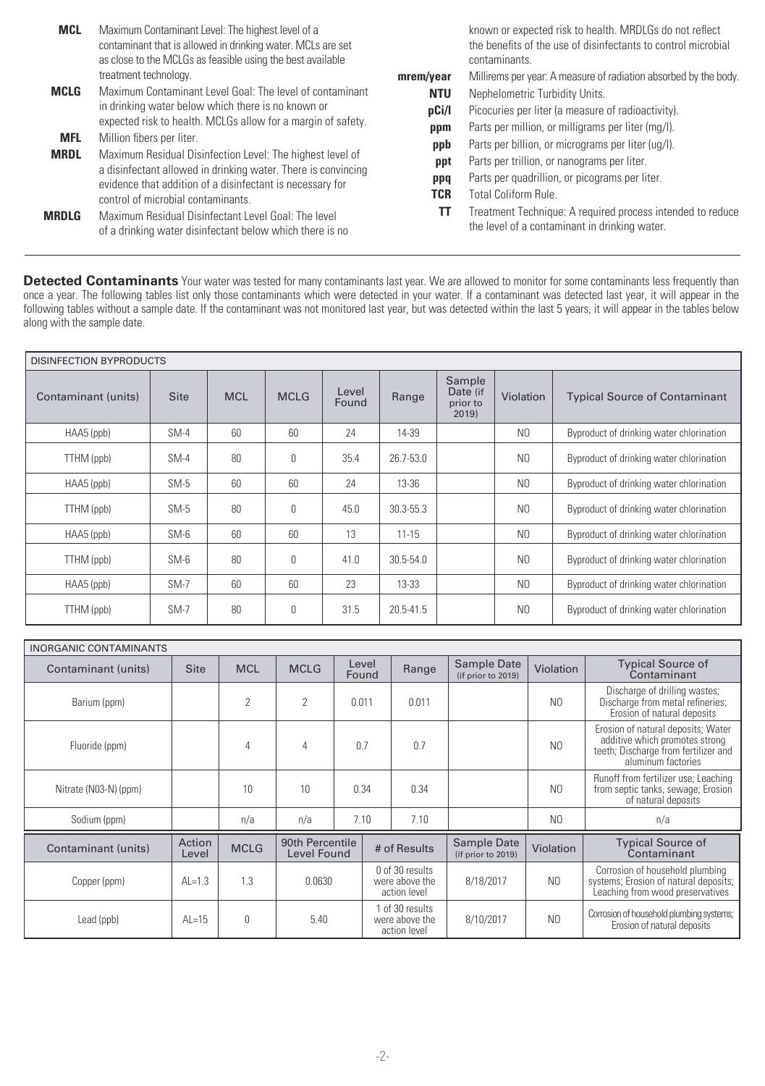| <b>MCL</b>   | Maximum Contaminant Level: The highest level of a<br>contaminant that is allowed in drinking water. MCLs are set<br>as close to the MCLGs as feasible using the best available |            | known or expected risk to health. MRDLGs do not reflect<br>the benefits of the use of disinfectants to control microbial<br>contaminants. |
|--------------|--------------------------------------------------------------------------------------------------------------------------------------------------------------------------------|------------|-------------------------------------------------------------------------------------------------------------------------------------------|
|              | treatment technology.                                                                                                                                                          | mrem/year  | Millirems per year: A measure of radiation absorbed by the body.                                                                          |
| MCLG         | Maximum Contaminant Level Goal: The level of contaminant                                                                                                                       | <b>NTU</b> | Nephelometric Turbidity Units.                                                                                                            |
|              | in drinking water below which there is no known or                                                                                                                             | pCi/l      | Picocuries per liter (a measure of radioactivity).                                                                                        |
|              | expected risk to health. MCLGs allow for a margin of safety.                                                                                                                   | ppm        | Parts per million, or milligrams per liter (mg/l).                                                                                        |
|              | <b>MFL</b><br>Million fibers per liter.                                                                                                                                        |            | Parts per billion, or micrograms per liter (ug/l).                                                                                        |
| <b>MRDL</b>  | Maximum Residual Disinfection Level: The highest level of<br>a disinfectant allowed in drinking water. There is convincing                                                     | ppt        | Parts per trillion, or nanograms per liter.                                                                                               |
|              | evidence that addition of a disinfectant is necessary for                                                                                                                      | ppq        | Parts per quadrillion, or picograms per liter.                                                                                            |
|              | control of microbial contaminants.                                                                                                                                             | TCR        | <b>Total Coliform Rule.</b>                                                                                                               |
| <b>MRDLG</b> | Maximum Residual Disinfectant Level Goal: The level<br>of a drinking water disinfectant below which there is no                                                                | TT         | Treatment Technique: A required process intended to reduce<br>the level of a contaminant in drinking water.                               |

**Detected Contaminants** Your water was tested for many contaminants last year. We are allowed to monitor for some contaminants less frequently than once a year. The following tables list only those contaminants which were detected in your water. If a contaminant was detected last year, it will appear in the following tables without a sample date. If the contaminant was not monitored last year, but was detected within the last 5 years, it will appear in the tables below along with the sample date.

| <b>DISINFECTION BYPRODUCTS</b> |             |            |             |                |           |                                         |                |                                          |
|--------------------------------|-------------|------------|-------------|----------------|-----------|-----------------------------------------|----------------|------------------------------------------|
| Contaminant (units)            | <b>Site</b> | <b>MCL</b> | <b>MCLG</b> | Level<br>Found | Range     | Sample<br>Date (if<br>prior to<br>2019) | Violation      | <b>Typical Source of Contaminant</b>     |
| HAA5 (ppb)                     | $SM-4$      | 60         | 60          | 24             | 14-39     |                                         | N <sub>0</sub> | Byproduct of drinking water chlorination |
| TTHM (ppb)                     | $SM-4$      | 80         | $\Omega$    | 35.4           | 26.7-53.0 |                                         | N <sub>0</sub> | Byproduct of drinking water chlorination |
| HAA5 (ppb)                     | $SM-5$      | 60         | 60          | 24             | $13 - 36$ |                                         | N <sub>0</sub> | Byproduct of drinking water chlorination |
| TTHM (ppb)                     | $SM-5$      | 80         | $\Omega$    | 45.0           | 30.3-55.3 |                                         | N <sub>0</sub> | Byproduct of drinking water chlorination |
| HAA5 (ppb)                     | $SM-6$      | 60         | 60          | 13             | $11 - 15$ |                                         | N <sub>0</sub> | Byproduct of drinking water chlorination |
| TTHM (ppb)                     | $SM-6$      | 80         | $\Omega$    | 41.0           | 30.5-54.0 |                                         | N <sub>0</sub> | Byproduct of drinking water chlorination |
| HAA5 (ppb)                     | $SM-7$      | 60         | 60          | 23             | $13 - 33$ |                                         | N <sub>0</sub> | Byproduct of drinking water chlorination |
| TTHM (ppb)                     | $SM-7$      | 80         | $\Omega$    | 31.5           | 20.5-41.5 |                                         | N <sub>0</sub> | Byproduct of drinking water chlorination |

| <b>INORGANIC CONTAMINANTS</b> |                 |                |                                |                |  |                                                   |                                   |                  |                                                                                                                                    |
|-------------------------------|-----------------|----------------|--------------------------------|----------------|--|---------------------------------------------------|-----------------------------------|------------------|------------------------------------------------------------------------------------------------------------------------------------|
| Contaminant (units)           | <b>Site</b>     | <b>MCL</b>     | <b>MCLG</b>                    | Level<br>Found |  | Range                                             | Sample Date<br>(if prior to 2019) | Violation        | <b>Typical Source of</b><br>Contaminant                                                                                            |
| Barium (ppm)                  |                 | $\overline{2}$ | $\overline{2}$                 | 0.011          |  | 0.011                                             |                                   | N <sub>0</sub>   | Discharge of drilling wastes;<br>Discharge from metal refineries;<br>Erosion of natural deposits                                   |
| Fluoride (ppm)                |                 | 4              | 4                              | 0.7            |  | 0.7                                               |                                   | N <sub>0</sub>   | Erosion of natural deposits; Water<br>additive which promotes strong<br>teeth; Discharge from fertilizer and<br>aluminum factories |
| Nitrate (N03-N) (ppm)         |                 | 10             | 10                             | 0.34           |  | 0.34                                              |                                   | N <sub>0</sub>   | Runoff from fertilizer use; Leaching<br>from septic tanks, sewage; Erosion<br>of natural deposits                                  |
| Sodium (ppm)                  |                 | n/a            | n/a                            | 7.10           |  | 7.10                                              |                                   | N <sub>0</sub>   | n/a                                                                                                                                |
| Contaminant (units)           | Action<br>Level | <b>MCLG</b>    | 90th Percentile<br>Level Found | # of Results   |  |                                                   | Sample Date<br>(if prior to 2019) | <b>Violation</b> | <b>Typical Source of</b><br>Contaminant                                                                                            |
| Copper (ppm)                  | $AL=1.3$        | 1.3            | 0.0630                         |                |  | 0 of 30 results<br>were above the<br>action level | 8/18/2017                         | N <sub>0</sub>   | Corrosion of household plumbing<br>systems; Erosion of natural deposits;<br>Leaching from wood preservatives                       |
| Lead (ppb)                    | $AL=15$         | $\mathbf 0$    | 5.40                           |                |  | 1 of 30 results<br>were above the<br>action level | 8/10/2017                         | N <sub>0</sub>   | Corrosion of household plumbing systems;<br>Erosion of natural deposits                                                            |